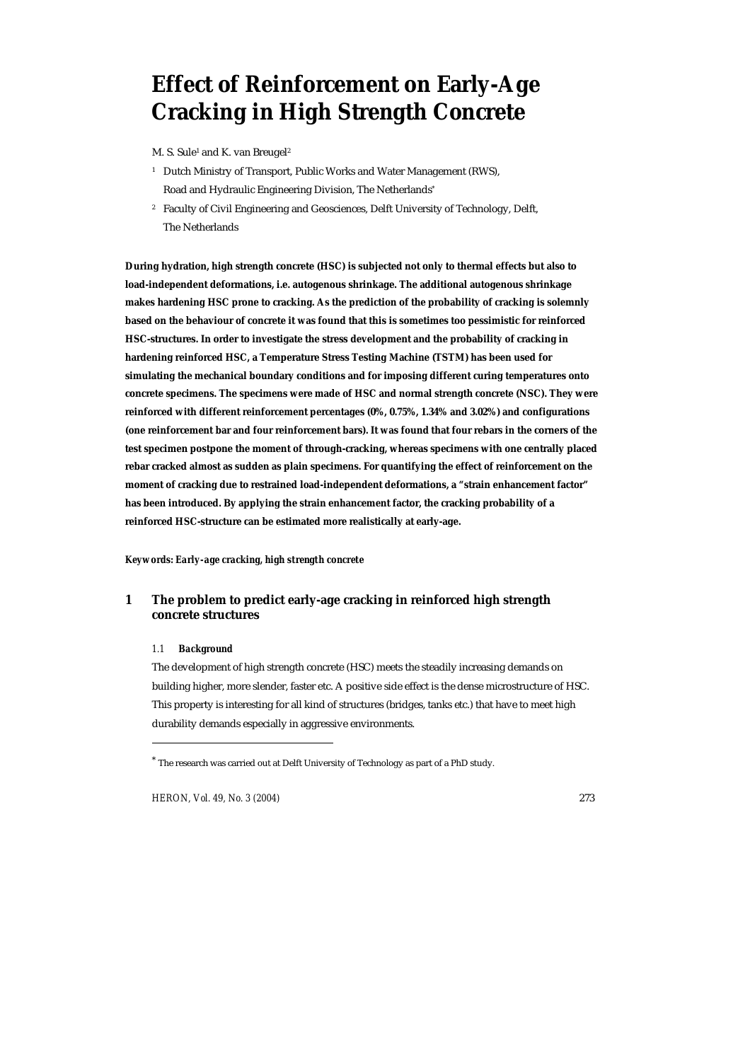# **Effect of Reinforcement on Early-Age Cracking in High Strength Concrete**

M. S. Sule<sup>1</sup> and K. van Breugel<sup>2</sup>

- <sup>1</sup> Dutch Ministry of Transport, Public Works and Water Management (RWS), Road and Hydraulic Engineering Division, The Netherlands\*
- 2 Faculty of Civil Engineering and Geosciences, Delft University of Technology, Delft, The Netherlands

**During hydration, high strength concrete (HSC) is subjected not only to thermal effects but also to load-independent deformations, i.e. autogenous shrinkage. The additional autogenous shrinkage makes hardening HSC prone to cracking. As the prediction of the probability of cracking is solemnly based on the behaviour of concrete it was found that this is sometimes too pessimistic for reinforced HSC-structures. In order to investigate the stress development and the probability of cracking in hardening reinforced HSC, a Temperature Stress Testing Machine (TSTM) has been used for simulating the mechanical boundary conditions and for imposing different curing temperatures onto concrete specimens. The specimens were made of HSC and normal strength concrete (NSC). They were reinforced with different reinforcement percentages (0%, 0.75%, 1.34% and 3.02%) and configurations (one reinforcement bar and four reinforcement bars). It was found that four rebars in the corners of the test specimen postpone the moment of through-cracking, whereas specimens with one centrally placed rebar cracked almost as sudden as plain specimens. For quantifying the effect of reinforcement on the moment of cracking due to restrained load-independent deformations, a "strain enhancement factor" has been introduced. By applying the strain enhancement factor, the cracking probability of a reinforced HSC-structure can be estimated more realistically at early-age.** 

*Keywords: Early-age cracking, high strength concrete* 

# **1 The problem to predict early-age cracking in reinforced high strength concrete structures**

# *1.1 Background*

 $\overline{a}$ 

The development of high strength concrete (HSC) meets the steadily increasing demands on building higher, more slender, faster etc. A positive side effect is the dense microstructure of HSC. This property is interesting for all kind of structures (bridges, tanks etc.) that have to meet high durability demands especially in aggressive environments.

*HERON, Vol. 49, No. 3 (2004)* 273

<sup>\*</sup> The research was carried out at Delft University of Technology as part of a PhD study.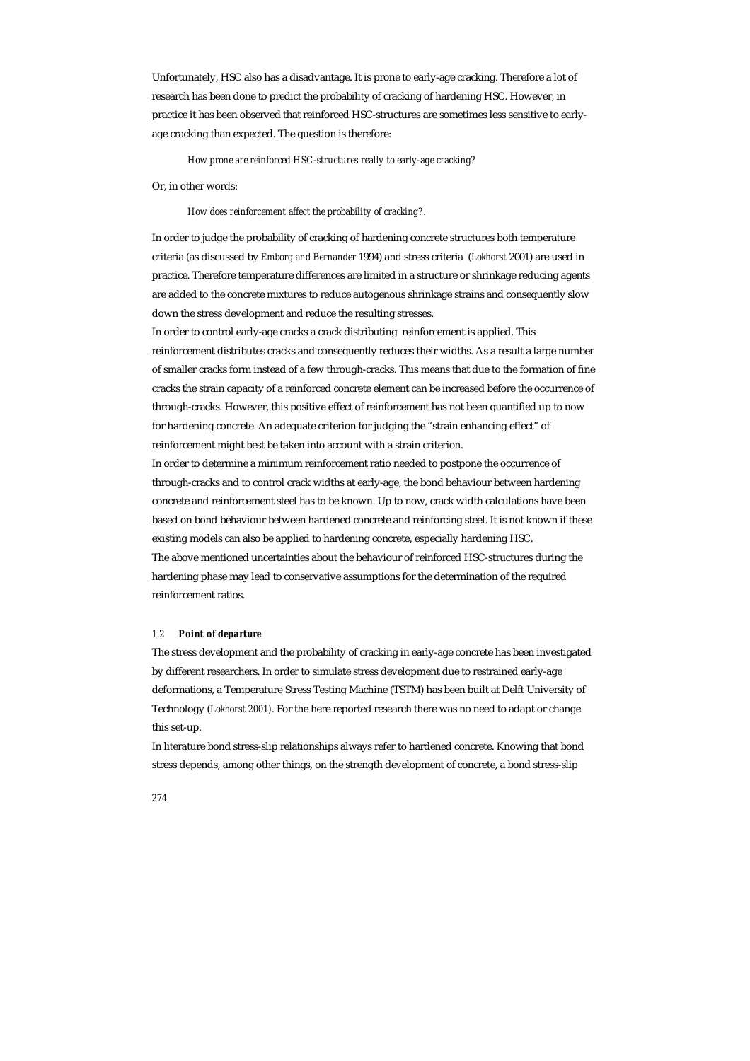Unfortunately, HSC also has a disadvantage. It is prone to early-age cracking. Therefore a lot of research has been done to predict the probability of cracking of hardening HSC. However, in practice it has been observed that reinforced HSC-structures are sometimes less sensitive to earlyage cracking than expected. The question is therefore:

*How prone are reinforced HSC-structures really to early-age cracking?* 

Or, in other words:

*How does reinforcement affect the probability of cracking?.* 

In order to judge the probability of cracking of hardening concrete structures both temperature criteria (as discussed by *Emborg and Bernander* 1994) and stress criteria (*Lokhorst* 2001) are used in practice. Therefore temperature differences are limited in a structure or shrinkage reducing agents are added to the concrete mixtures to reduce autogenous shrinkage strains and consequently slow down the stress development and reduce the resulting stresses.

In order to control early-age cracks a crack distributing reinforcement is applied. This reinforcement distributes cracks and consequently reduces their widths. As a result a large number of smaller cracks form instead of a few through-cracks. This means that due to the formation of fine cracks the strain capacity of a reinforced concrete element can be increased before the occurrence of through-cracks. However, this positive effect of reinforcement has not been quantified up to now for hardening concrete. An adequate criterion for judging the "strain enhancing effect" of reinforcement might best be taken into account with a strain criterion.

In order to determine a minimum reinforcement ratio needed to postpone the occurrence of through-cracks and to control crack widths at early-age, the bond behaviour between hardening concrete and reinforcement steel has to be known. Up to now, crack width calculations have been based on bond behaviour between hardened concrete and reinforcing steel. It is not known if these existing models can also be applied to hardening concrete, especially hardening HSC. The above mentioned uncertainties about the behaviour of reinforced HSC-structures during the hardening phase may lead to conservative assumptions for the determination of the required

reinforcement ratios.

#### *1.2 Point of departure*

The stress development and the probability of cracking in early-age concrete has been investigated by different researchers. In order to simulate stress development due to restrained early-age deformations, a Temperature Stress Testing Machine (TSTM) has been built at Delft University of Technology (*Lokhorst 2001)*. For the here reported research there was no need to adapt or change this set-up.

In literature bond stress-slip relationships always refer to hardened concrete. Knowing that bond stress depends, among other things, on the strength development of concrete, a bond stress-slip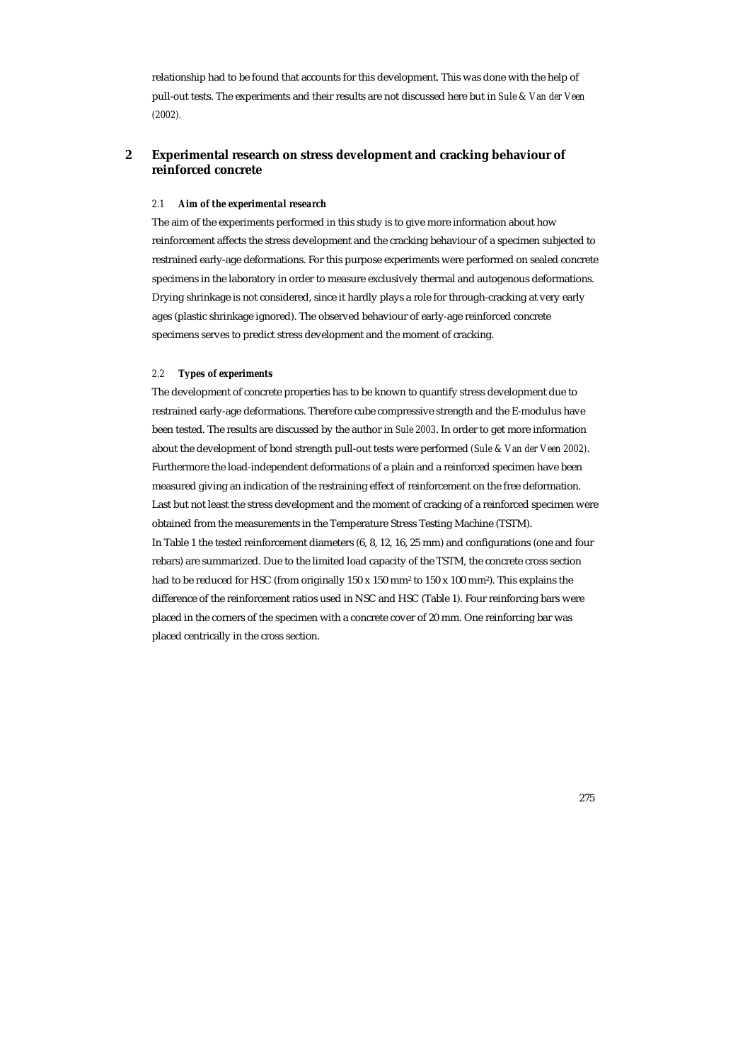relationship had to be found that accounts for this development. This was done with the help of pull-out tests. The experiments and their results are not discussed here but in *Sule & Van der Veen (2002).*

# **2 Experimental research on stress development and cracking behaviour of reinforced concrete**

#### *2.1 Aim of the experimental research*

The aim of the experiments performed in this study is to give more information about how reinforcement affects the stress development and the cracking behaviour of a specimen subjected to restrained early-age deformations. For this purpose experiments were performed on sealed concrete specimens in the laboratory in order to measure exclusively thermal and autogenous deformations. Drying shrinkage is not considered, since it hardly plays a role for through-cracking at very early ages (plastic shrinkage ignored). The observed behaviour of early-age reinforced concrete specimens serves to predict stress development and the moment of cracking.

#### *2.2 Types of experiments*

The development of concrete properties has to be known to quantify stress development due to restrained early-age deformations. Therefore cube compressive strength and the E-modulus have been tested. The results are discussed by the author in *Sule 2003*. In order to get more information about the development of bond strength pull-out tests were performed *(Sule & Van der Veen 2002)*. Furthermore the load-independent deformations of a plain and a reinforced specimen have been measured giving an indication of the restraining effect of reinforcement on the free deformation. Last but not least the stress development and the moment of cracking of a reinforced specimen were obtained from the measurements in the Temperature Stress Testing Machine (TSTM). In Table 1 the tested reinforcement diameters (6, 8, 12, 16, 25 mm) and configurations (one and four rebars) are summarized. Due to the limited load capacity of the TSTM, the concrete cross section had to be reduced for HSC (from originally 150 x 150 mm<sup>2</sup> to 150 x 100 mm<sup>2</sup>). This explains the difference of the reinforcement ratios used in NSC and HSC (Table 1). Four reinforcing bars were placed in the corners of the specimen with a concrete cover of 20 mm. One reinforcing bar was placed centrically in the cross section.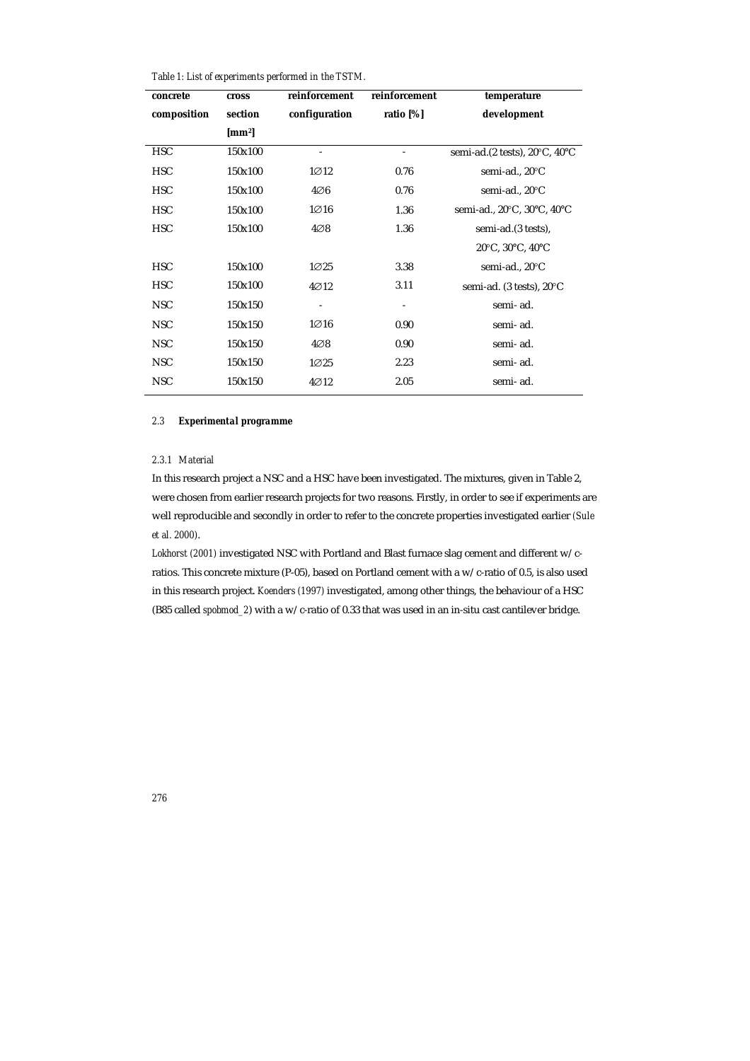| Table 1: List of experiments performed in the TSTM. |
|-----------------------------------------------------|
|-----------------------------------------------------|

| concrete    | <b>cross</b>   | reinforcement            | reinforcement | temperature                                                   |
|-------------|----------------|--------------------------|---------------|---------------------------------------------------------------|
| composition | section        | configuration            | ratio $[\%]$  | development                                                   |
|             | ${\rm [mm^2]}$ |                          |               |                                                               |
| <b>HSC</b>  | 150x100        | $\overline{\phantom{a}}$ |               | semi-ad. $(2 \text{ tests})$ , $20^{\circ}$ C, $40^{\circ}$ C |
| <b>HSC</b>  | 150x100        | $1 \oslash 12$           | 0.76          | semi-ad., 20°C                                                |
| <b>HSC</b>  | 150x100        | $4\varnothing6$          | 0.76          | semi-ad., 20°C                                                |
| <b>HSC</b>  | 150x100        | $1\varnothing 16$        | 1.36          | semi-ad., 20°C, 30°C, 40°C                                    |
| <b>HSC</b>  | 150x100        | $4\oslash 8$             | 1.36          | semi-ad. (3 tests),                                           |
|             |                |                          |               | 20°C, 30°C, 40°C                                              |
| <b>HSC</b>  | 150x100        | $1 \varnothing 25$       | 3.38          | semi-ad., 20°C                                                |
| <b>HSC</b>  | 150x100        | $4\varnothing12$         | 3.11          | semi-ad. (3 tests), 20°C                                      |
| <b>NSC</b>  | 150x150        |                          |               | semi-ad.                                                      |
| <b>NSC</b>  | 150x150        | $1\varnothing 16$        | 0.90          | semi-ad.                                                      |
| <b>NSC</b>  | 150x150        | $4\oslash 8$             | 0.90          | semi-ad.                                                      |
| <b>NSC</b>  | 150x150        | $1 \varnothing 25$       | 2.23          | semi-ad.                                                      |
| <b>NSC</b>  | 150x150        | $4\varnothing12$         | 2.05          | semi-ad.                                                      |

# *2.3 Experimental programme*

## *2.3.1 Material*

In this research project a NSC and a HSC have been investigated. The mixtures, given in Table 2, were chosen from earlier research projects for two reasons. Firstly, in order to see if experiments are well reproducible and secondly in order to refer to the concrete properties investigated earlier *(Sule et al. 2000)*.

*Lokhorst (2001)* investigated NSC with Portland and Blast furnace slag cement and different w/cratios. This concrete mixture (P-05), based on Portland cement with a w/c-ratio of 0.5, is also used in this research project. *Koenders (1997)* investigated, among other things, the behaviour of a HSC (B85 called *spobmod\_2*) with a w/c-ratio of 0.33 that was used in an in-situ cast cantilever bridge.

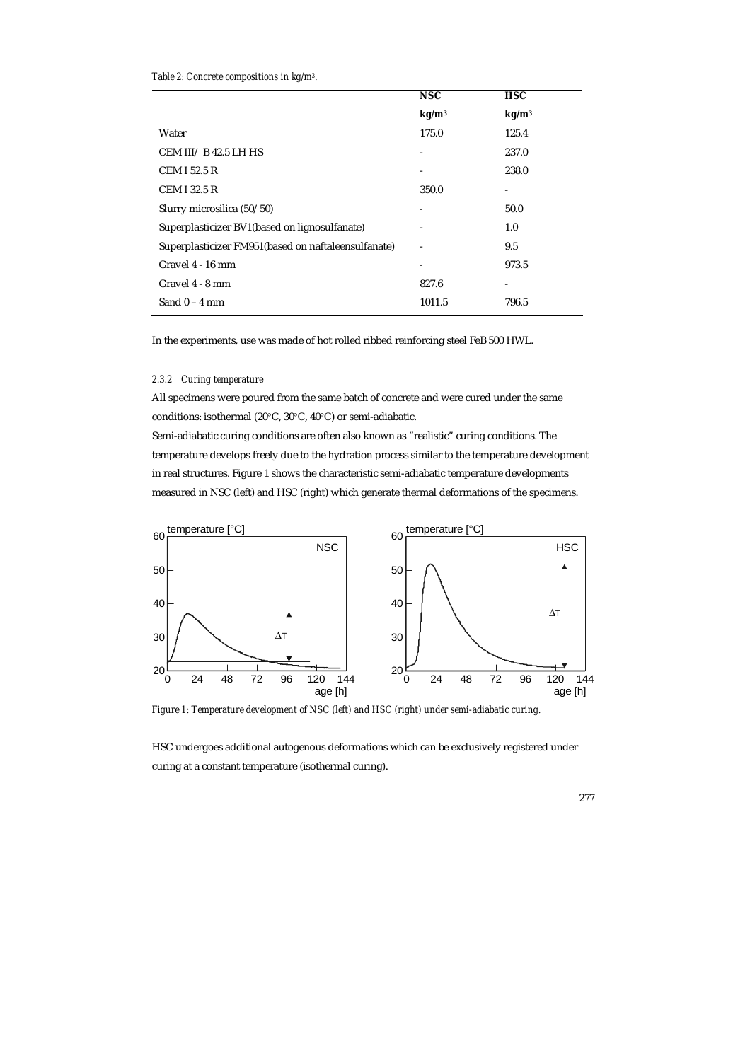## *Table 2: Concrete compositions in kg/m3.*

|                                                       | <b>NSC</b>        | <b>HSC</b>        |
|-------------------------------------------------------|-------------------|-------------------|
|                                                       | kg/m <sup>3</sup> | kg/m <sup>3</sup> |
| Water                                                 | 175.0             | 125.4             |
| CEM III/B42.5 LHHS                                    | -                 | 237.0             |
| <b>CEM I 52.5 R</b>                                   | $\qquad \qquad -$ | 238.0             |
| <b>CEM I 32.5 R</b>                                   | 350.0             |                   |
| Slurry microsilica (50/50)                            | -                 | 50.0              |
| Superplasticizer BV1(based on lignosulfanate)         | -                 | 1.0               |
| Superplasticizer FM951 (based on naftaleen sulfanate) |                   | 9.5               |
| Gravel 4 - 16 mm                                      |                   | 973.5             |
| Gravel 4 - 8 mm                                       | 827.6             |                   |
| Sand $0 - 4$ mm                                       | 1011.5            | 796.5             |

In the experiments, use was made of hot rolled ribbed reinforcing steel FeB 500 HWL.

# *2.3.2 Curing temperature*

All specimens were poured from the same batch of concrete and were cured under the same conditions: isothermal (20°C, 30°C, 40°C) or semi-adiabatic.

Semi-adiabatic curing conditions are often also known as "realistic" curing conditions. The temperature develops freely due to the hydration process similar to the temperature development in real structures. Figure 1 shows the characteristic semi-adiabatic temperature developments measured in NSC (left) and HSC (right) which generate thermal deformations of the specimens.



*Figure 1: Temperature development of NSC (left) and HSC (right) under semi-adiabatic curing.* 

HSC undergoes additional autogenous deformations which can be exclusively registered under curing at a constant temperature (isothermal curing).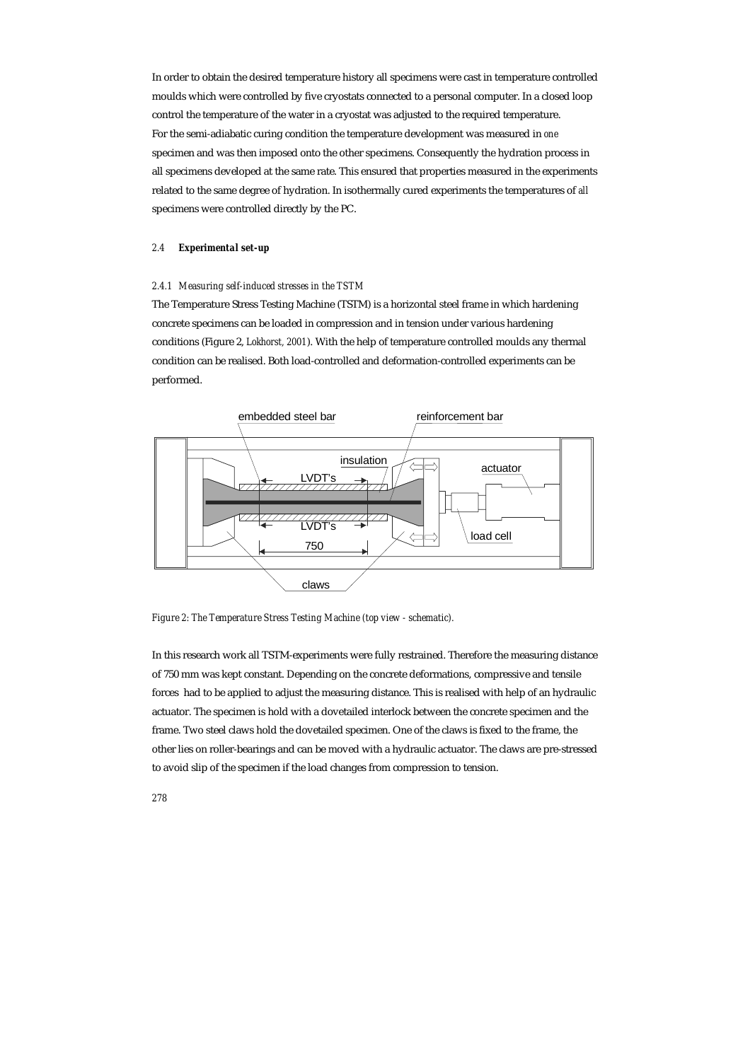In order to obtain the desired temperature history all specimens were cast in temperature controlled moulds which were controlled by five cryostats connected to a personal computer. In a closed loop control the temperature of the water in a cryostat was adjusted to the required temperature. For the semi-adiabatic curing condition the temperature development was measured in *one* specimen and was then imposed onto the other specimens. Consequently the hydration process in all specimens developed at the same rate. This ensured that properties measured in the experiments related to the same degree of hydration. In isothermally cured experiments the temperatures of *all* specimens were controlled directly by the PC.

## *2.4 Experimental set-up*

#### *2.4.1 Measuring self-induced stresses in the TSTM*

The Temperature Stress Testing Machine (TSTM) is a horizontal steel frame in which hardening concrete specimens can be loaded in compression and in tension under various hardening conditions (Figure 2, *Lokhorst, 2001*). With the help of temperature controlled moulds any thermal condition can be realised. Both load-controlled and deformation-controlled experiments can be performed.



*Figure 2: The Temperature Stress Testing Machine (top view - schematic).* 

In this research work all TSTM-experiments were fully restrained. Therefore the measuring distance of 750 mm was kept constant. Depending on the concrete deformations, compressive and tensile forces had to be applied to adjust the measuring distance. This is realised with help of an hydraulic actuator. The specimen is hold with a dovetailed interlock between the concrete specimen and the frame. Two steel claws hold the dovetailed specimen. One of the claws is fixed to the frame, the other lies on roller-bearings and can be moved with a hydraulic actuator. The claws are pre-stressed to avoid slip of the specimen if the load changes from compression to tension.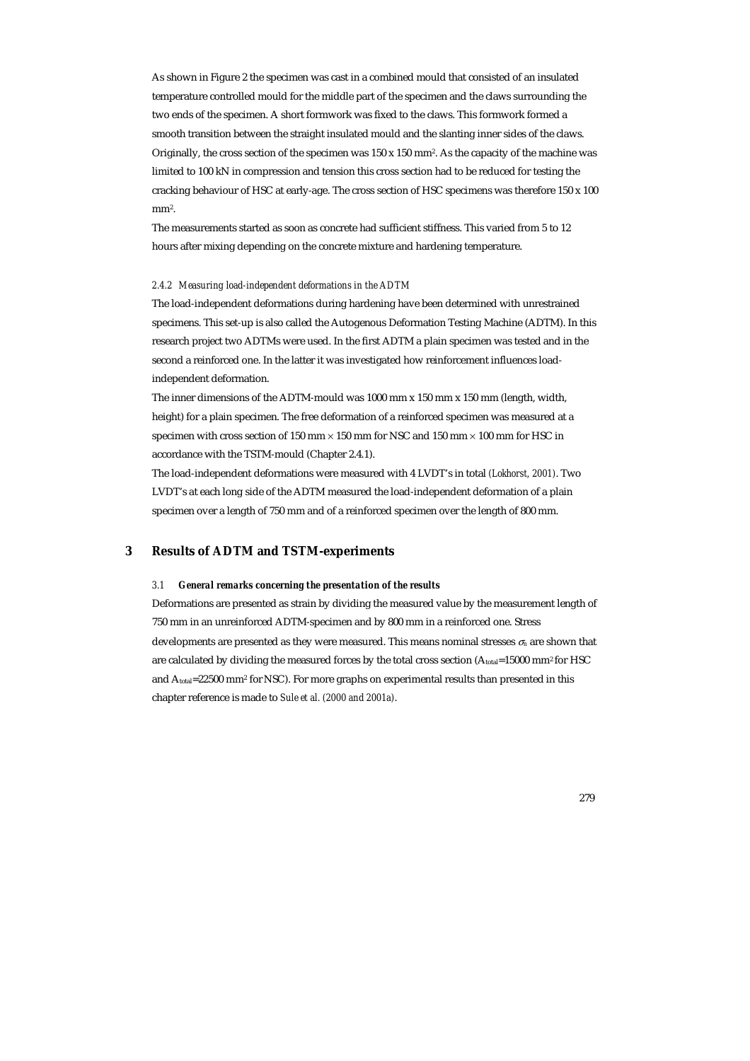As shown in Figure 2 the specimen was cast in a combined mould that consisted of an insulated temperature controlled mould for the middle part of the specimen and the claws surrounding the two ends of the specimen. A short formwork was fixed to the claws. This formwork formed a smooth transition between the straight insulated mould and the slanting inner sides of the claws. Originally, the cross section of the specimen was  $150 \times 150$  mm<sup>2</sup>. As the capacity of the machine was limited to 100 kN in compression and tension this cross section had to be reduced for testing the cracking behaviour of HSC at early-age. The cross section of HSC specimens was therefore 150 x 100 mm<sup>2</sup>.

The measurements started as soon as concrete had sufficient stiffness. This varied from 5 to 12 hours after mixing depending on the concrete mixture and hardening temperature.

#### *2.4.2 Measuring load-independent deformations in the ADTM*

The load-independent deformations during hardening have been determined with unrestrained specimens. This set-up is also called the Autogenous Deformation Testing Machine (ADTM). In this research project two ADTMs were used. In the first ADTM a plain specimen was tested and in the second a reinforced one. In the latter it was investigated how reinforcement influences loadindependent deformation.

The inner dimensions of the ADTM-mould was 1000 mm x 150 mm x 150 mm (length, width, height) for a plain specimen. The free deformation of a reinforced specimen was measured at a specimen with cross section of 150 mm  $\times$  150 mm for NSC and 150 mm  $\times$  100 mm for HSC in accordance with the TSTM-mould (Chapter 2.4.1).

The load-independent deformations were measured with 4 LVDT's in total *(Lokhorst, 2001)*. Two LVDT's at each long side of the ADTM measured the load-independent deformation of a plain specimen over a length of 750 mm and of a reinforced specimen over the length of 800 mm.

## **3 Results of ADTM and TSTM-experiments**

## *3.1 General remarks concerning the presentation of the results*

Deformations are presented as strain by dividing the measured value by the measurement length of 750 mm in an unreinforced ADTM-specimen and by 800 mm in a reinforced one. Stress developments are presented as they were measured. This means nominal stresses <sup>σ</sup>*n* are shown that are calculated by dividing the measured forces by the total cross section (Atotal=15000 mm<sup>2</sup> for HSC and  $A_{total}$ =22500 mm<sup>2</sup> for NSC). For more graphs on experimental results than presented in this chapter reference is made to *Sule et al. (2000 and 2001a)*.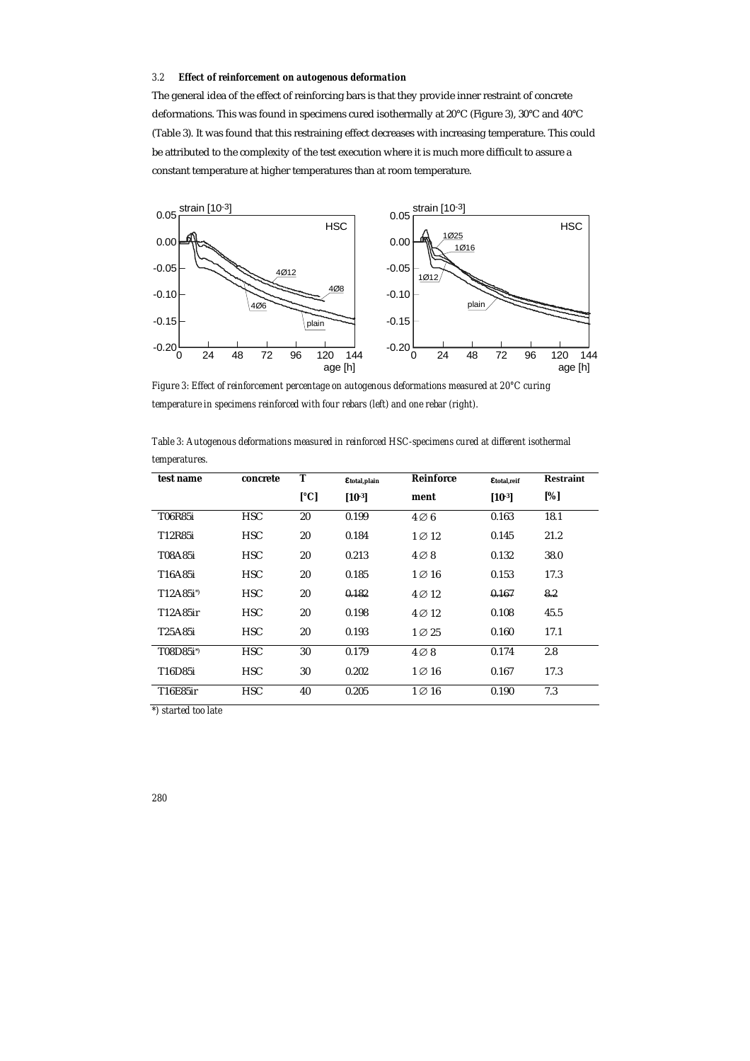#### *3.2 Effect of reinforcement on autogenous deformation*

The general idea of the effect of reinforcing bars is that they provide inner restraint of concrete deformations. This was found in specimens cured isothermally at 20°C (Figure 3), 30°C and 40°C (Table 3). It was found that this restraining effect decreases with increasing temperature. This could be attributed to the complexity of the test execution where it is much more difficult to assure a constant temperature at higher temperatures than at room temperature.



*Figure 3: Effect of reinforcement percentage on autogenous deformations measured at 20°C curing temperature in specimens reinforced with four rebars (left) and one rebar (right).* 

| test name            | concrete   | T                    | Etotal, plain | <b>Reinforce</b> | Etotal,reif | <b>Restraint</b> |
|----------------------|------------|----------------------|---------------|------------------|-------------|------------------|
|                      |            | $\lceil$ °C $\rceil$ | $[10^{-3}]$   | ment             | $[10^{-3}]$ | [%]              |
| T06R85i              | <b>HSC</b> | 20                   | 0.199         | $4\oslash 6$     | 0.163       | 18.1             |
| T12R85i              | <b>HSC</b> | 20                   | 0.184         | $1 \oslash 12$   | 0.145       | 21.2             |
| T08A85i              | <b>HSC</b> | 20                   | 0.213         | $4\oslash 8$     | 0.132       | 38.0             |
| T16A85i              | <b>HSC</b> | 20                   | 0.185         | $1\oslash 16$    | 0.153       | 17.3             |
| $T12A85i^*$          | <b>HSC</b> | 20                   | 0.182         | $4\oslash 12$    | 0.167       | 8.2              |
| T12A85ir             | <b>HSC</b> | 20                   | 0.198         | $4\oslash 12$    | 0.108       | 45.5             |
| T25A85i              | <b>HSC</b> | 20                   | 0.193         | $1\oslash 25$    | 0.160       | 17.1             |
| T08D85i <sup>*</sup> | <b>HSC</b> | 30                   | 0.179         | $4\oslash 8$     | 0.174       | 2.8              |
| T16D85i              | <b>HSC</b> | 30                   | 0.202         | $1 \oslash 16$   | 0.167       | 17.3             |
| T16E85ir             | <b>HSC</b> | 40                   | 0.205         | $1\oslash 16$    | 0.190       | 7.3              |

*Table 3: Autogenous deformations measured in reinforced HSC-specimens cured at different isothermal temperatures.* 

*\*) started too late*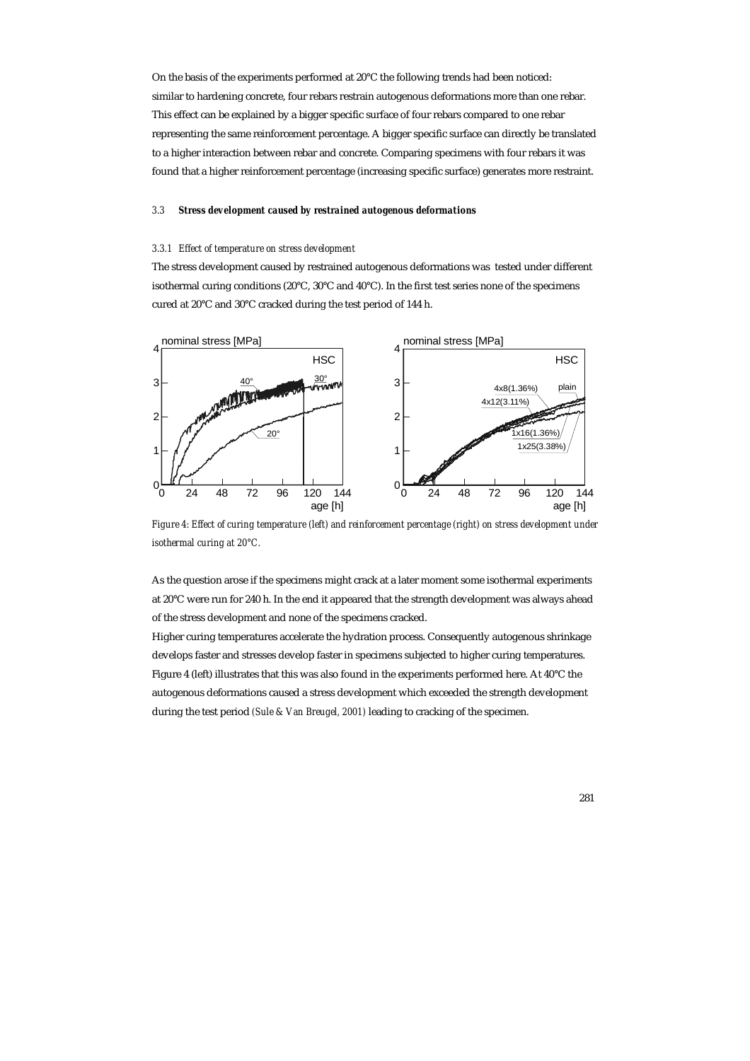On the basis of the experiments performed at 20°C the following trends had been noticed: similar to hardening concrete, four rebars restrain autogenous deformations more than one rebar. This effect can be explained by a bigger specific surface of four rebars compared to one rebar representing the same reinforcement percentage. A bigger specific surface can directly be translated to a higher interaction between rebar and concrete. Comparing specimens with four rebars it was found that a higher reinforcement percentage (increasing specific surface) generates more restraint.

#### *3.3 Stress development caused by restrained autogenous deformations*

#### *3.3.1 Effect of temperature on stress development*

The stress development caused by restrained autogenous deformations was tested under different isothermal curing conditions (20°C, 30°C and 40°C). In the first test series none of the specimens cured at 20°C and 30°C cracked during the test period of 144 h.



*Figure 4: Effect of curing temperature (left) and reinforcement percentage (right) on stress development under isothermal curing at 20°C.* 

As the question arose if the specimens might crack at a later moment some isothermal experiments at 20°C were run for 240 h. In the end it appeared that the strength development was always ahead of the stress development and none of the specimens cracked.

Higher curing temperatures accelerate the hydration process. Consequently autogenous shrinkage develops faster and stresses develop faster in specimens subjected to higher curing temperatures. Figure 4 (left) illustrates that this was also found in the experiments performed here. At 40°C the autogenous deformations caused a stress development which exceeded the strength development during the test period *(Sule & Van Breugel, 2001)* leading to cracking of the specimen.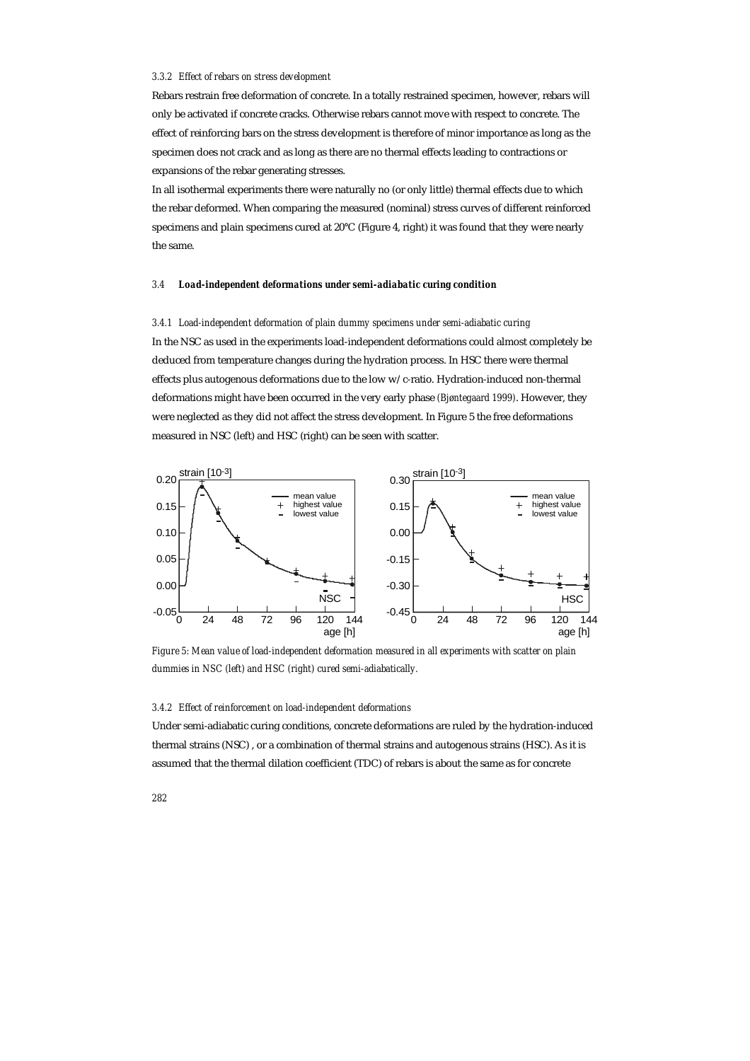#### *3.3.2 Effect of rebars on stress development*

Rebars restrain free deformation of concrete. In a totally restrained specimen, however, rebars will only be activated if concrete cracks. Otherwise rebars cannot move with respect to concrete. The effect of reinforcing bars on the stress development is therefore of minor importance as long as the specimen does not crack and as long as there are no thermal effects leading to contractions or expansions of the rebar generating stresses.

In all isothermal experiments there were naturally no (or only little) thermal effects due to which the rebar deformed. When comparing the measured (nominal) stress curves of different reinforced specimens and plain specimens cured at 20°C (Figure 4, right) it was found that they were nearly the same.

#### *3.4 Load-independent deformations under semi-adiabatic curing condition*

*3.4.1 Load-independent deformation of plain dummy specimens under semi-adiabatic curing*  In the NSC as used in the experiments load-independent deformations could almost completely be deduced from temperature changes during the hydration process. In HSC there were thermal effects plus autogenous deformations due to the low w/c-ratio. Hydration-induced non-thermal deformations might have been occurred in the very early phase *(Bjøntegaard 1999)*. However, they were neglected as they did not affect the stress development. In Figure 5 the free deformations measured in NSC (left) and HSC (right) can be seen with scatter.



*Figure 5: Mean value of load-independent deformation measured in all experiments with scatter on plain dummies in NSC (left) and HSC (right) cured semi-adiabatically.* 

## *3.4.2 Effect of reinforcement on load-independent deformations*

Under semi-adiabatic curing conditions, concrete deformations are ruled by the hydration-induced thermal strains (NSC) , or a combination of thermal strains and autogenous strains (HSC). As it is assumed that the thermal dilation coefficient (TDC) of rebars is about the same as for concrete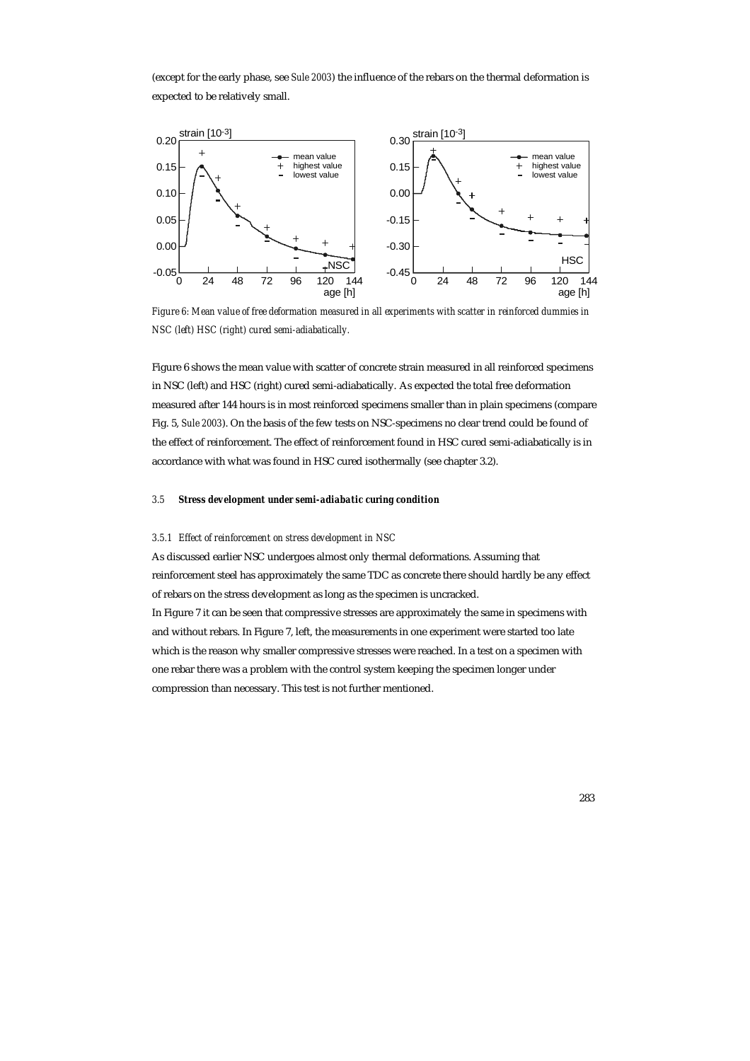(except for the early phase, see *Sule 2003*) the influence of the rebars on the thermal deformation is expected to be relatively small.



*Figure 6: Mean value of free deformation measured in all experiments with scatter in reinforced dummies in NSC (left) HSC (right) cured semi-adiabatically.* 

Figure 6 shows the mean value with scatter of concrete strain measured in all reinforced specimens in NSC (left) and HSC (right) cured semi-adiabatically. As expected the total free deformation measured after 144 hours is in most reinforced specimens smaller than in plain specimens (compare Fig. 5, *Sule 2003*). On the basis of the few tests on NSC-specimens no clear trend could be found of the effect of reinforcement. The effect of reinforcement found in HSC cured semi-adiabatically is in accordance with what was found in HSC cured isothermally (see chapter 3.2).

## *3.5 Stress development under semi-adiabatic curing condition*

#### *3.5.1 Effect of reinforcement on stress development in NSC*

As discussed earlier NSC undergoes almost only thermal deformations. Assuming that reinforcement steel has approximately the same TDC as concrete there should hardly be any effect of rebars on the stress development as long as the specimen is uncracked. In Figure 7 it can be seen that compressive stresses are approximately the same in specimens with and without rebars. In Figure 7, left, the measurements in one experiment were started too late which is the reason why smaller compressive stresses were reached. In a test on a specimen with one rebar there was a problem with the control system keeping the specimen longer under compression than necessary. This test is not further mentioned.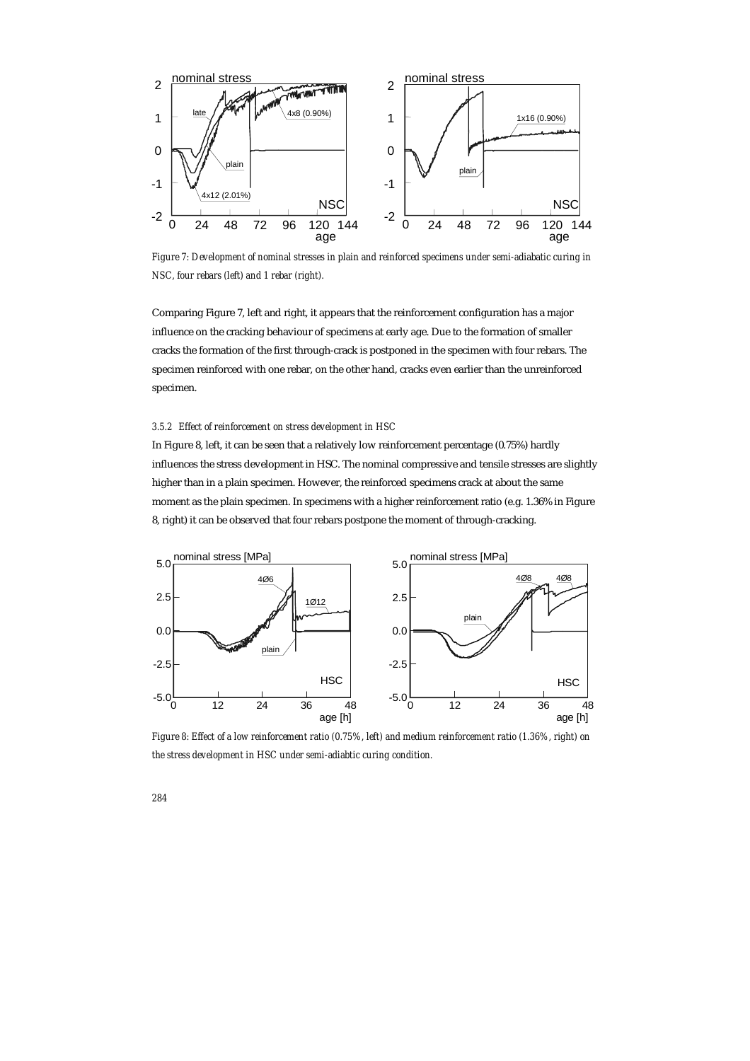

*Figure 7: Development of nominal stresses in plain and reinforced specimens under semi-adiabatic curing in NSC, four rebars (left) and 1 rebar (right).* 

Comparing Figure 7, left and right, it appears that the reinforcement configuration has a major influence on the cracking behaviour of specimens at early age. Due to the formation of smaller cracks the formation of the first through-crack is postponed in the specimen with four rebars. The specimen reinforced with one rebar, on the other hand, cracks even earlier than the unreinforced specimen.

## *3.5.2 Effect of reinforcement on stress development in HSC*

In Figure 8, left, it can be seen that a relatively low reinforcement percentage (0.75%) hardly influences the stress development in HSC. The nominal compressive and tensile stresses are slightly higher than in a plain specimen. However, the reinforced specimens crack at about the same moment as the plain specimen. In specimens with a higher reinforcement ratio (e.g. 1.36% in Figure 8, right) it can be observed that four rebars postpone the moment of through-cracking.



*Figure 8: Effect of a low reinforcement ratio (0.75%, left) and medium reinforcement ratio (1.36%, right) on the stress development in HSC under semi-adiabtic curing condition.*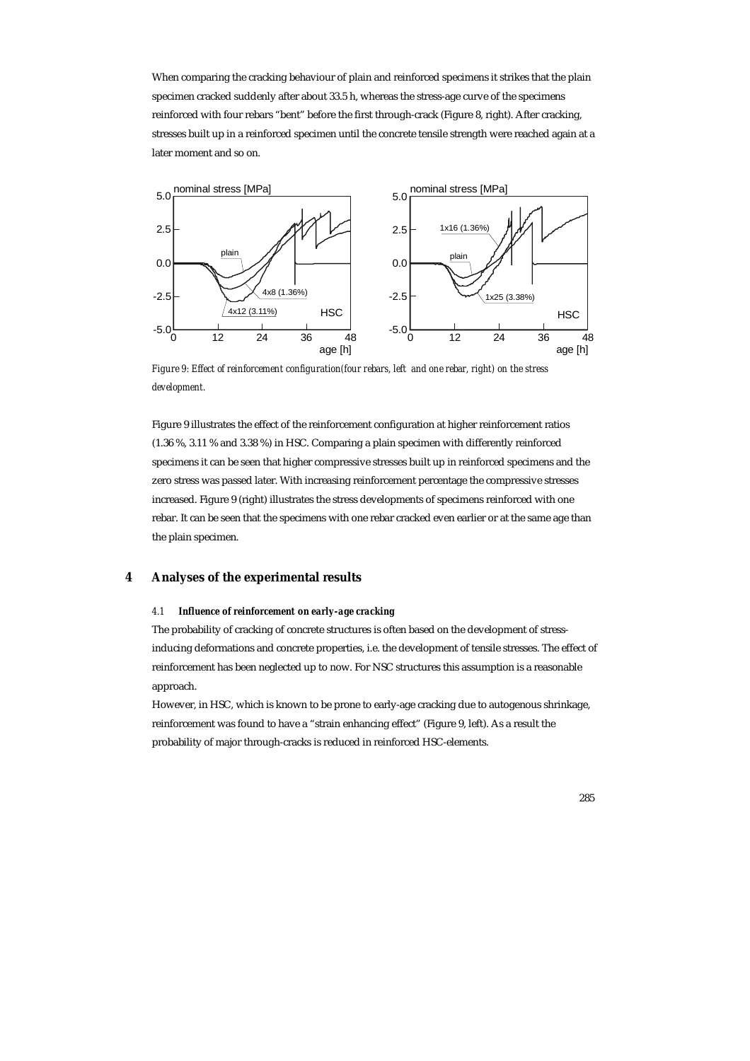When comparing the cracking behaviour of plain and reinforced specimens it strikes that the plain specimen cracked suddenly after about 33.5 h, whereas the stress-age curve of the specimens reinforced with four rebars "bent" before the first through-crack (Figure 8, right). After cracking, stresses built up in a reinforced specimen until the concrete tensile strength were reached again at a later moment and so on.



*Figure 9: Effect of reinforcement configuration(four rebars, left and one rebar, right) on the stress development.* 

Figure 9 illustrates the effect of the reinforcement configuration at higher reinforcement ratios (1.36 %, 3.11 % and 3.38 %) in HSC. Comparing a plain specimen with differently reinforced specimens it can be seen that higher compressive stresses built up in reinforced specimens and the zero stress was passed later. With increasing reinforcement percentage the compressive stresses increased. Figure 9 (right) illustrates the stress developments of specimens reinforced with one rebar. It can be seen that the specimens with one rebar cracked even earlier or at the same age than the plain specimen.

# **4 Analyses of the experimental results**

# *4.1 Influence of reinforcement on early-age cracking*

The probability of cracking of concrete structures is often based on the development of stressinducing deformations and concrete properties, i.e. the development of tensile stresses. The effect of reinforcement has been neglected up to now. For NSC structures this assumption is a reasonable approach.

However, in HSC, which is known to be prone to early-age cracking due to autogenous shrinkage, reinforcement was found to have a "strain enhancing effect" (Figure 9, left). As a result the probability of major through-cracks is reduced in reinforced HSC-elements.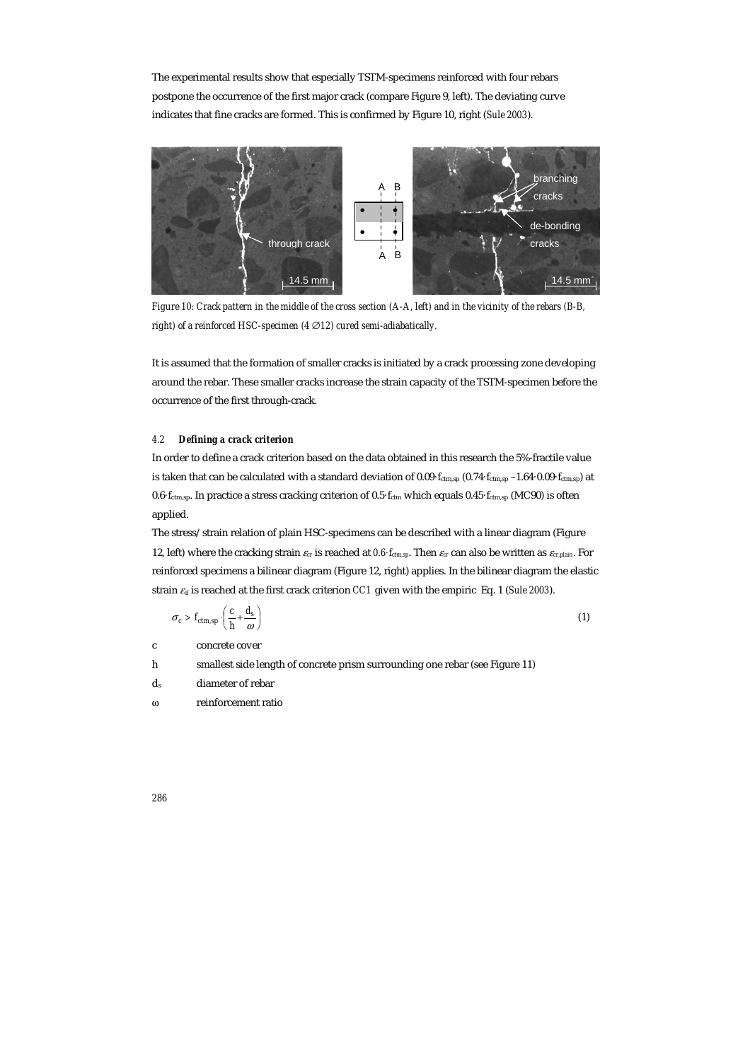The experimental results show that especially TSTM-specimens reinforced with four rebars postpone the occurrence of the first major crack (compare Figure 9, left). The deviating curve indicates that fine cracks are formed. This is confirmed by Figure 10, right (*Sule 2003*).



*Figure 10: Crack pattern in the middle of the cross section (A-A, left) and in the vicinity of the rebars (B-B, right)* of a reinforced HSC-specimen (4 ∅ 12) cured semi-adiabatically.

It is assumed that the formation of smaller cracks is initiated by a crack processing zone developing around the rebar. These smaller cracks increase the strain capacity of the TSTM-specimen before the occurrence of the first through-crack.

# *4.2 Defining a crack criterion*

In order to define a crack criterion based on the data obtained in this research the 5%-fractile value is taken that can be calculated with a standard deviation of 0.09 $\cdot$   $f_{\text{ctm,sp}}$  –1.64 $\cdot$ 0.09 $\cdot$   $f_{\text{ctm,sp}}$ ) at 0.6·fctm,sp. In practice a stress cracking criterion of 0.5·fctm which equals 0.45·fctm,sp (MC90) is often applied.

The stress/strain relation of plain HSC-specimens can be described with a linear diagram (Figure 12, left) where the cracking strain  $\varepsilon_{cr}$  is reached at  $0.6 \cdot f_{ctm,sp}$ . Then  $\varepsilon_{cr}$  can also be written as  $\varepsilon_{cr,plain}$ . For reinforced specimens a bilinear diagram (Figure 12, right) applies. In the bilinear diagram the elastic strain <sup>ε</sup>*el* is reached at the first crack criterion *CC1* given with the empiric Eq. 1 (*Sule 2003*).

$$
\sigma_c > f_{ctm,sp} \cdot \left(\frac{c}{h} + \frac{d_s}{\omega}\right) \tag{1}
$$

c concrete cover

- h smallest side length of concrete prism surrounding one rebar (see Figure 11)
- ds diameter of rebar
- ω reinforcement ratio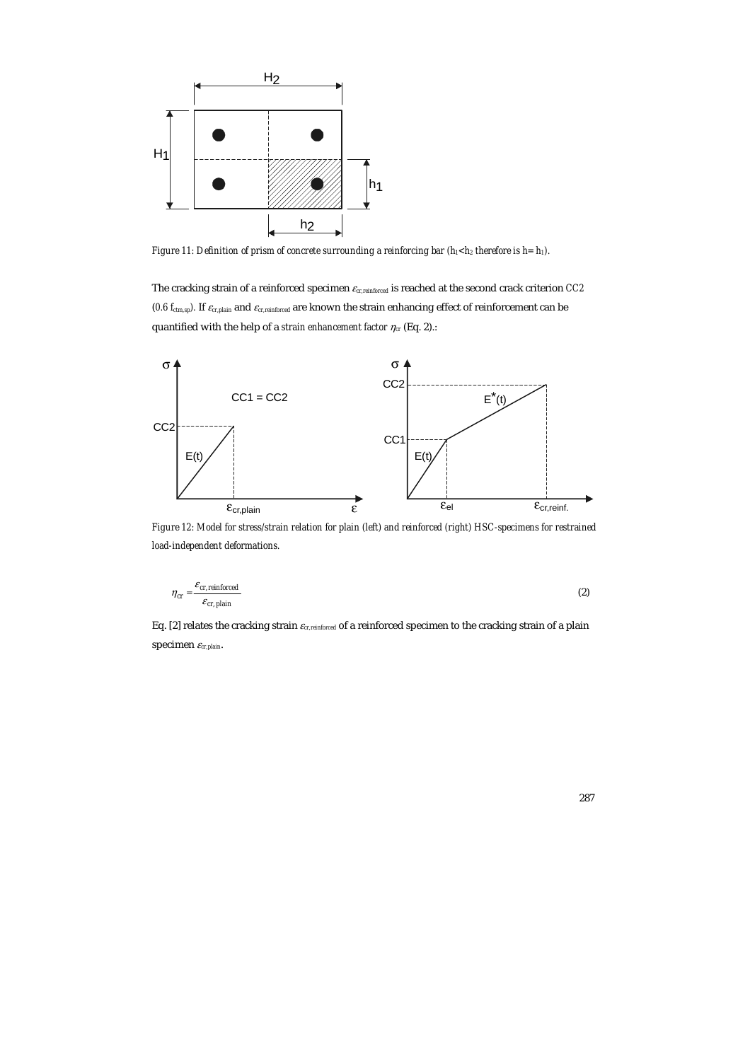

*Figure 11: Definition of prism of concrete surrounding a reinforcing bar (h<sub>1</sub><h<sub>2</sub> therefore is h= h<sub>1</sub>).* 

The cracking strain of a reinforced specimen <sup>ε</sup>*cr,reinforced* is reached at the second crack criterion *CC2*  (*0.6 f<sub>ctm,sp</sub>*). If  $\varepsilon_{cr,plain}$  and  $\varepsilon_{cr,reinforced}$  are known the strain enhancing effect of reinforcement can be quantified with the help of a *strain enhancement factor*  $\eta_{cr}$  (Eq. 2).:



*Figure 12: Model for stress/strain relation for plain (left) and reinforced (right) HSC-specimens for restrained load-independent deformations.* 

$$
\eta_{cr} = \frac{\varepsilon_{cr, reinforcement}}{\varepsilon_{cr,plain}}\tag{2}
$$

Eq. [2] relates the cracking strain <sup>ε</sup>*cr,reinforced* of a reinforced specimen to the cracking strain of a plain specimen <sup>ε</sup>*cr,plain*.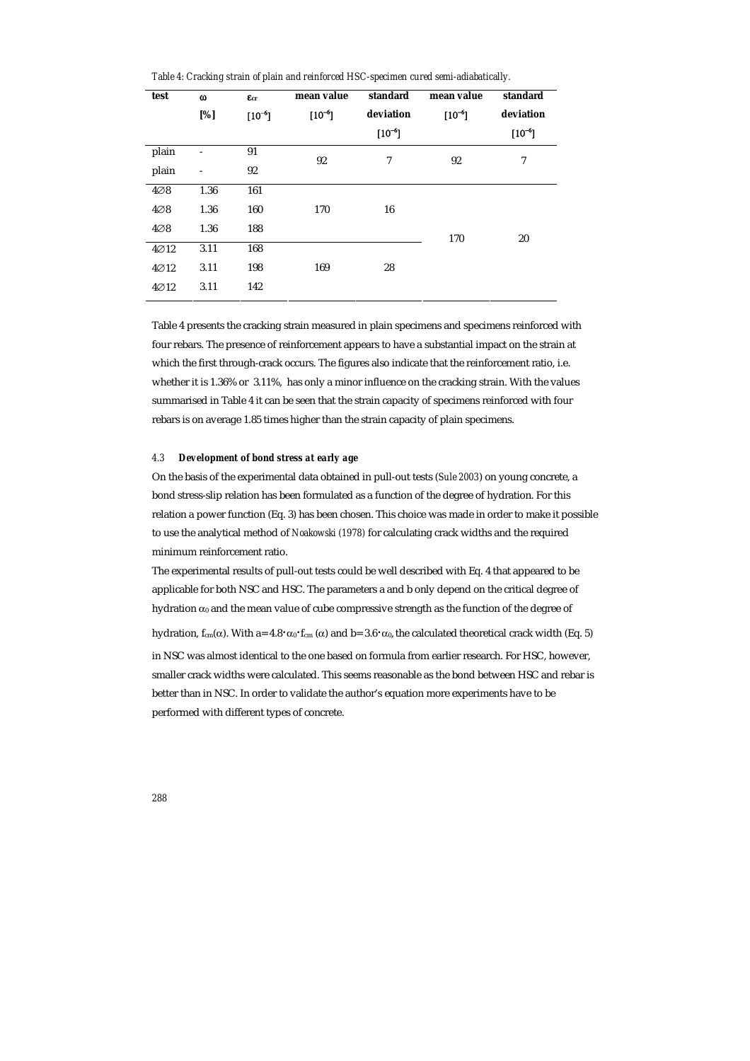*Table 4: Cracking strain of plain and reinforced HSC-specimen cured semi-adiabatically.* 

| test             | $\omega$<br>[%] | $E_{cr}$<br>$[10^{-6}]$ | mean value<br>$[10^{-6}]$ | standard<br>deviation | mean value<br>$[10^{-6}]$ | standard<br>deviation |
|------------------|-----------------|-------------------------|---------------------------|-----------------------|---------------------------|-----------------------|
|                  |                 |                         |                           | $[10^{-6}]$           |                           | $[10^{-6}]$           |
| plain            |                 | 91                      | 92                        | 7                     | 92                        | 7                     |
| plain            |                 | 92                      |                           |                       |                           |                       |
| $4\varnothing 8$ | 1.36            | 161                     |                           |                       |                           |                       |
| $4\oslash 8$     | 1.36            | 160                     | 170                       | 16                    |                           |                       |
| $4\varnothing 8$ | 1.36            | 188                     |                           |                       | 170                       | 20                    |
| $4\varnothing12$ | 3.11            | 168                     |                           |                       |                           |                       |
| $4\varnothing12$ | 3.11            | 198                     | 169                       | 28                    |                           |                       |
| $4\varnothing12$ | 3.11            | 142                     |                           |                       |                           |                       |

Table 4 presents the cracking strain measured in plain specimens and specimens reinforced with four rebars. The presence of reinforcement appears to have a substantial impact on the strain at which the first through-crack occurs. The figures also indicate that the reinforcement ratio, i.e. whether it is 1.36% or 3.11%, has only a minor influence on the cracking strain. With the values summarised in Table 4 it can be seen that the strain capacity of specimens reinforced with four rebars is on average 1.85 times higher than the strain capacity of plain specimens.

#### *4.3 Development of bond stress at early age*

On the basis of the experimental data obtained in pull-out tests (*Sule 2003*) on young concrete, a bond stress-slip relation has been formulated as a function of the degree of hydration. For this relation a power function (Eq. 3) has been chosen. This choice was made in order to make it possible to use the analytical method of *Noakowski (1978)* for calculating crack widths and the required minimum reinforcement ratio.

The experimental results of pull-out tests could be well described with Eq. 4 that appeared to be applicable for both NSC and HSC. The parameters a and b only depend on the critical degree of hydration  $\alpha_0$  and the mean value of cube compressive strength as the function of the degree of

hydration,  $f_{cm}(\alpha)$ . With a=  $4.8 \cdot \alpha_0 \cdot f_{cm}(\alpha)$  and b=  $3.6 \cdot \alpha_0$ , the calculated theoretical crack width (Eq. 5) in NSC was almost identical to the one based on formula from earlier research. For HSC, however, smaller crack widths were calculated. This seems reasonable as the bond between HSC and rebar is better than in NSC. In order to validate the author's equation more experiments have to be performed with different types of concrete.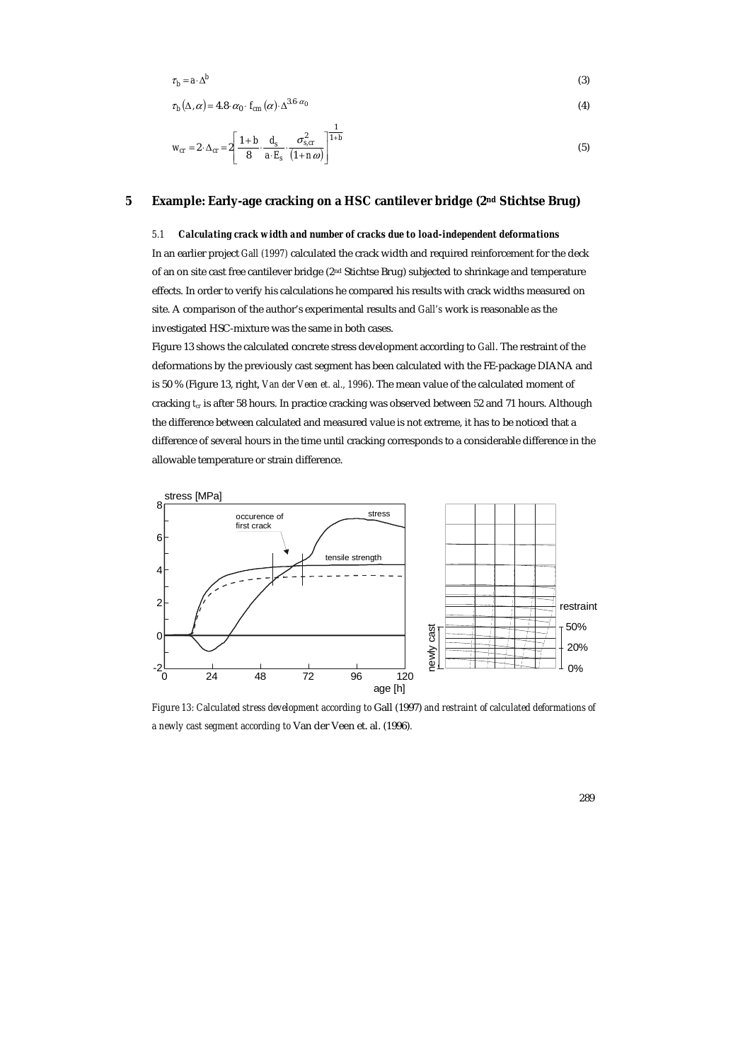$$
\tau_b = a \cdot \Delta^b \tag{3}
$$

$$
\tau_b(\Delta,\alpha) = 4.8 \cdot \alpha_0 \cdot f_{cm}(\alpha) \cdot \Delta^{3.6 \cdot \alpha_0} \tag{4}
$$

$$
W_{cr} = 2 \cdot \Delta_{cr} = 2 \left[ \frac{1+b}{8} \cdot \frac{d_s}{a \cdot E_s} \cdot \frac{\sigma_{s,cr}^2}{(1+n\omega)} \right]^{1+b} \tag{5}
$$

# **5 Example: Early-age cracking on a HSC cantilever bridge (2nd Stichtse Brug)**

# *5.1 Calculating crack width and number of cracks due to load-independent deformations*

In an earlier project *Gall (1997)* calculated the crack width and required reinforcement for the deck of an on site cast free cantilever bridge (2nd Stichtse Brug) subjected to shrinkage and temperature effects. In order to verify his calculations he compared his results with crack widths measured on site. A comparison of the author's experimental results and *Gall's* work is reasonable as the investigated HSC-mixture was the same in both cases.

Figure 13 shows the calculated concrete stress development according to *Gall*. The restraint of the deformations by the previously cast segment has been calculated with the FE-package DIANA and is 50 % (Figure 13, right, *Van der Veen et. al., 1996*). The mean value of the calculated moment of cracking  $t_r$  is after 58 hours. In practice cracking was observed between 52 and 71 hours. Although the difference between calculated and measured value is not extreme, it has to be noticed that a difference of several hours in the time until cracking corresponds to a considerable difference in the allowable temperature or strain difference.



*Figure 13: Calculated stress development according to* Gall (1997) *and restraint of calculated deformations of a newly cast segment according to* Van der Veen et. al. (1996)*.*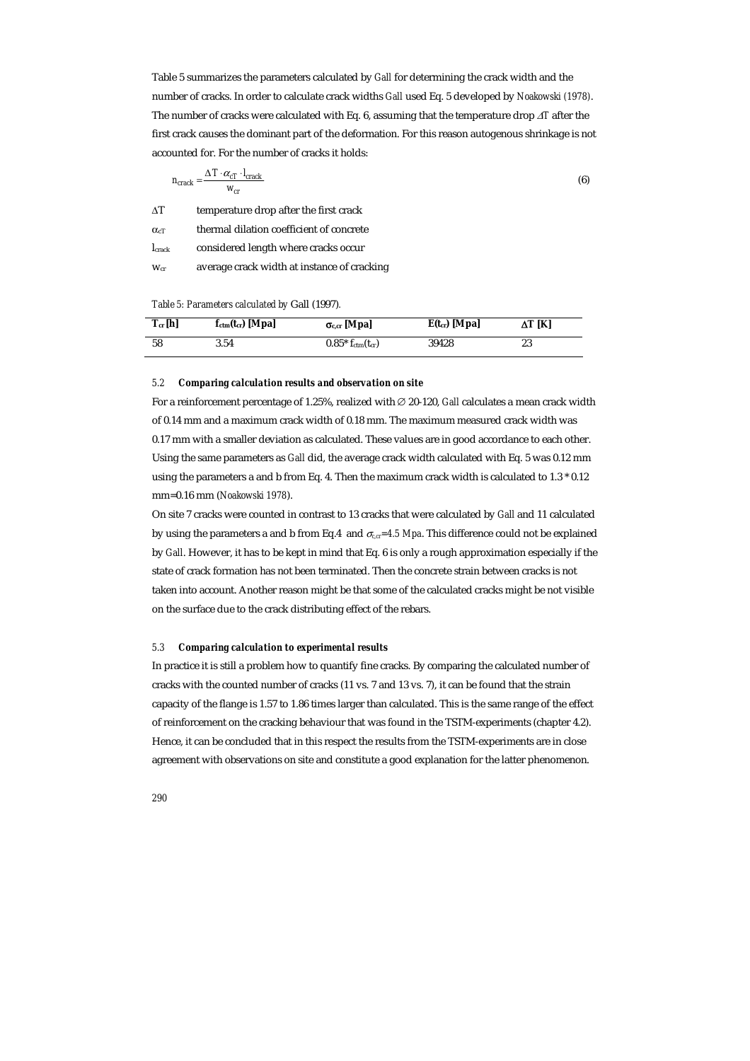Table 5 summarizes the parameters calculated by *Gall* for determining the crack width and the number of cracks. In order to calculate crack widths *Gall* used Eq. 5 developed by *Noakowski (1978)*. The number of cracks were calculated with Eq. 6, assuming that the temperature drop ∆*T* after the first crack causes the dominant part of the deformation. For this reason autogenous shrinkage is not accounted for. For the number of cracks it holds:

$$
n_{crack} = \frac{\Delta T \cdot \alpha_{cT} \cdot l_{crack}}{w_{cr}} \tag{6}
$$

∆T temperature drop after the first crack

 $\alpha$ <sub>T</sub> thermal dilation coefficient of concrete

| I <sub>crack</sub> | considered length where cracks occur |  |  |  |  |
|--------------------|--------------------------------------|--|--|--|--|
|--------------------|--------------------------------------|--|--|--|--|

w<sub>cr</sub> average crack width at instance of cracking

#### *Table 5: Parameters calculated by* Gall (1997)*.*

| $T_{cr}$ [h] | $f_{\text{ctm}}(t_{cr})$ [Mpa] | $\sigma_{c,cr}$ [Mpa]           | $E(t_{cr})$ [Mpa] | $\Delta T$ [K] |
|--------------|--------------------------------|---------------------------------|-------------------|----------------|
| 58           | 3.54                           | $0.85* f_{\rm ctm}(t_{\rm cr})$ | 39428             | 23             |

# *5.2 Comparing calculation results and observation on site*

For a reinforcement percentage of 1.25%, realized with ∅ 20-120, *Gall* calculates a mean crack width of 0.14 mm and a maximum crack width of 0.18 mm. The maximum measured crack width was 0.17 mm with a smaller deviation as calculated. These values are in good accordance to each other. Using the same parameters as *Gall* did, the average crack width calculated with Eq. 5 was 0.12 mm using the parameters a and b from Eq. 4. Then the maximum crack width is calculated to 1.3 \* 0.12 mm=0.16 mm (*Noakowski 1978*).

On site 7 cracks were counted in contrast to 13 cracks that were calculated by *Gall* and 11 calculated by using the parameters a and b from Eq.4 and  $\sigma_{c,q}=4.5$  Mpa. This difference could not be explained by *Gall*. However, it has to be kept in mind that Eq. 6 is only a rough approximation especially if the state of crack formation has not been terminated. Then the concrete strain between cracks is not taken into account. Another reason might be that some of the calculated cracks might be not visible on the surface due to the crack distributing effect of the rebars.

#### *5.3 Comparing calculation to experimental results*

In practice it is still a problem how to quantify fine cracks. By comparing the calculated number of cracks with the counted number of cracks (11 vs. 7 and 13 vs. 7), it can be found that the strain capacity of the flange is 1.57 to 1.86 times larger than calculated. This is the same range of the effect of reinforcement on the cracking behaviour that was found in the TSTM-experiments (chapter 4.2). Hence, it can be concluded that in this respect the results from the TSTM-experiments are in close agreement with observations on site and constitute a good explanation for the latter phenomenon.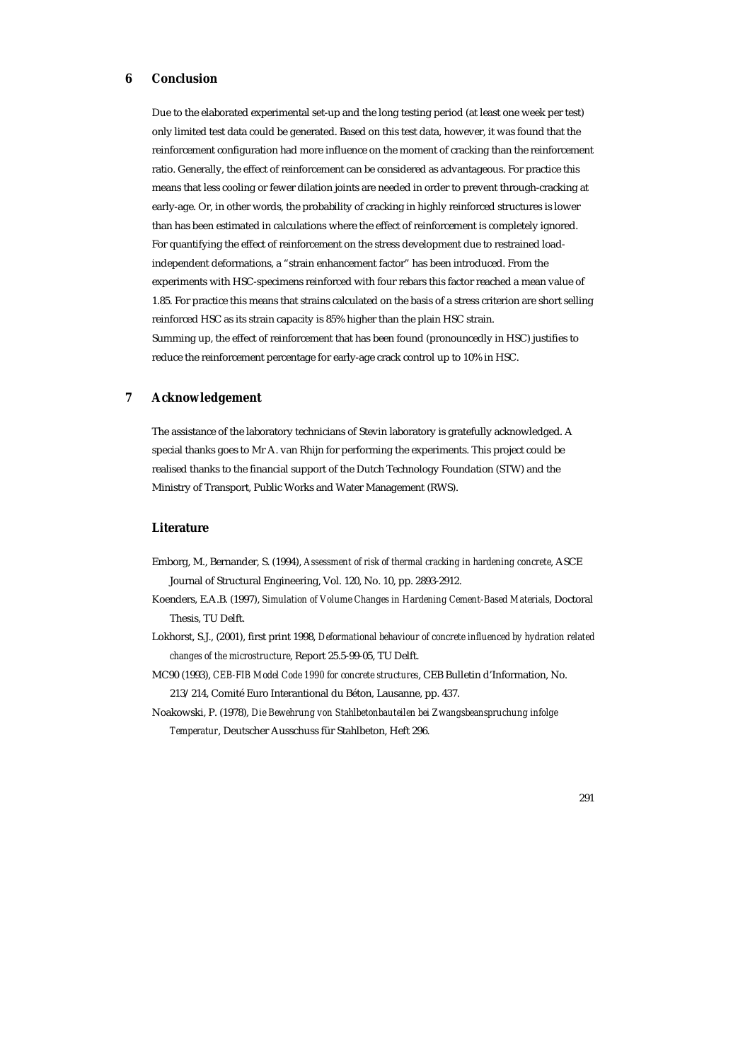# **6 Conclusion**

Due to the elaborated experimental set-up and the long testing period (at least one week per test) only limited test data could be generated. Based on this test data, however, it was found that the reinforcement configuration had more influence on the moment of cracking than the reinforcement ratio. Generally, the effect of reinforcement can be considered as advantageous. For practice this means that less cooling or fewer dilation joints are needed in order to prevent through-cracking at early-age. Or, in other words, the probability of cracking in highly reinforced structures is lower than has been estimated in calculations where the effect of reinforcement is completely ignored. For quantifying the effect of reinforcement on the stress development due to restrained loadindependent deformations, a "strain enhancement factor" has been introduced. From the experiments with HSC-specimens reinforced with four rebars this factor reached a mean value of 1.85. For practice this means that strains calculated on the basis of a stress criterion are short selling reinforced HSC as its strain capacity is 85% higher than the plain HSC strain. Summing up, the effect of reinforcement that has been found (pronouncedly in HSC) justifies to reduce the reinforcement percentage for early-age crack control up to 10% in HSC.

# **7 Acknowledgement**

The assistance of the laboratory technicians of Stevin laboratory is gratefully acknowledged. A special thanks goes to Mr A. van Rhijn for performing the experiments. This project could be realised thanks to the financial support of the Dutch Technology Foundation (STW) and the Ministry of Transport, Public Works and Water Management (RWS).

# **Literature**

- Emborg, M., Bernander, S. (1994), *Assessment of risk of thermal cracking in hardening concrete*, ASCE Journal of Structural Engineering, Vol. 120, No. 10, pp. 2893-2912.
- Koenders, E.A.B. (1997), *Simulation of Volume Changes in Hardening Cement-Based Materials*, Doctoral Thesis, TU Delft.
- Lokhorst, S.J., (2001), first print 1998, *Deformational behaviour of concrete influenced by hydration related changes of the microstructure*, Report 25.5-99-05, TU Delft.
- MC90 (1993), *CEB-FIB Model Code 1990 for concrete structures*, CEB Bulletin d'Information, No. 213/214, Comité Euro Interantional du Béton, Lausanne, pp. 437.
- Noakowski, P. (1978), *Die Bewehrung von Stahlbetonbauteilen bei Zwangsbeanspruchung infolge Temperatur*, Deutscher Ausschuss für Stahlbeton, Heft 296.